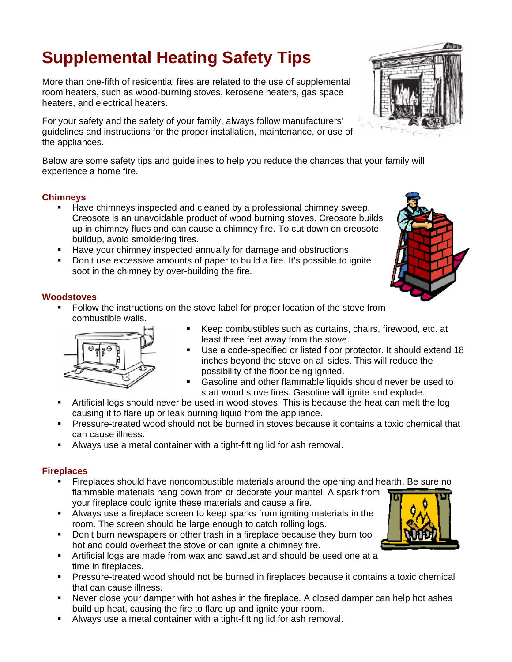# **Supplemental Heating Safety Tips**

More than one-fifth of residential fires are related to the use of supplemental room heaters, such as wood-burning stoves, kerosene heaters, gas space heaters, and electrical heaters.

For your safety and the safety of your family, always follow manufacturers' guidelines and instructions for the proper installation, maintenance, or use of the appliances.

Below are some safety tips and guidelines to help you reduce the chances that your family will experience a home fire.

## **Chimneys**

- **Have chimneys inspected and cleaned by a professional chimney sweep.** Creosote is an unavoidable product of wood burning stoves. Creosote builds up in chimney flues and can cause a chimney fire. To cut down on creosote buildup, avoid smoldering fires.
- **Have your chimney inspected annually for damage and obstructions.**
- Don't use excessive amounts of paper to build a fire. It's possible to ignite soot in the chimney by over-building the fire.



## **Woodstoves**

 Follow the instructions on the stove label for proper location of the stove from combustible walls.



- Keep combustibles such as curtains, chairs, firewood, etc. at least three feet away from the stove.
- Use a code-specified or listed floor protector. It should extend 18 inches beyond the stove on all sides. This will reduce the possibility of the floor being ignited.
- Gasoline and other flammable liquids should never be used to start wood stove fires. Gasoline will ignite and explode.
- Artificial logs should never be used in wood stoves. This is because the heat can melt the log causing it to flare up or leak burning liquid from the appliance.
- Pressure-treated wood should not be burned in stoves because it contains a toxic chemical that can cause illness.
- Always use a metal container with a tight-fitting lid for ash removal.

#### **Fireplaces**

- Fireplaces should have noncombustible materials around the opening and hearth. Be sure no flammable materials hang down from or decorate your mantel. A spark from your fireplace could ignite these materials and cause a fire.
- Always use a fireplace screen to keep sparks from igniting materials in the room. The screen should be large enough to catch rolling logs.
- Don't burn newspapers or other trash in a fireplace because they burn too hot and could overheat the stove or can ignite a chimney fire.
- Artificial logs are made from wax and sawdust and should be used one at a time in fireplaces.
- Pressure-treated wood should not be burned in fireplaces because it contains a toxic chemical that can cause illness.
- Never close your damper with hot ashes in the fireplace. A closed damper can help hot ashes build up heat, causing the fire to flare up and ignite your room.
- Always use a metal container with a tight-fitting lid for ash removal.